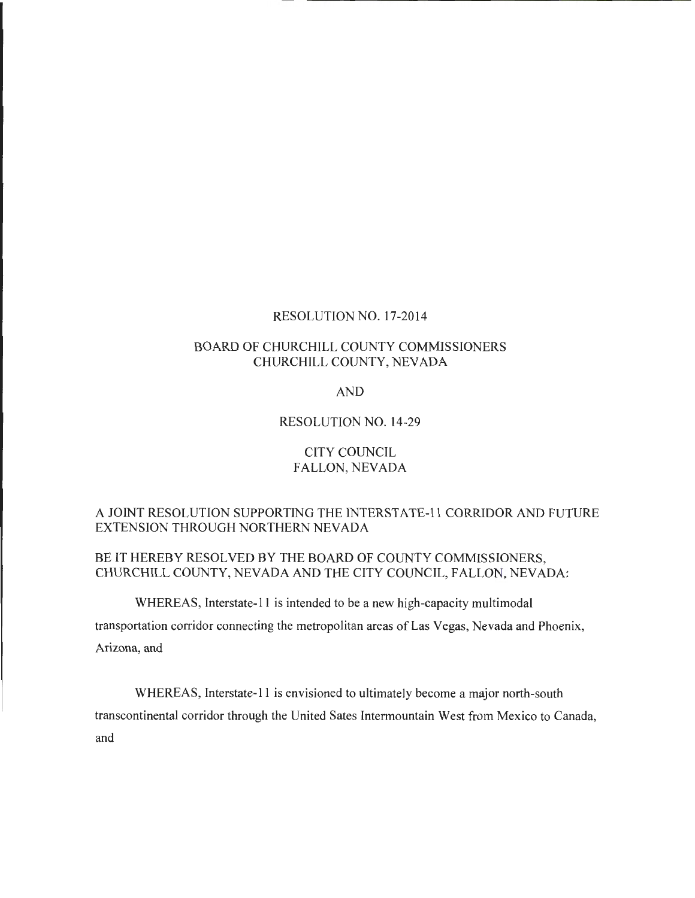#### RESOLUTION NO. 17-2014

## BOARD OF CHURCHILL COUNTY COMMISSIONERS CHURCHILL COUNTY, NEVADA

### AND

#### RESOLUTION NO. 14-29

## CITY COUNCIL FALLON, NEVADA

## A JOINT RESOLUTION SUPPORTING THE INTERSTATE-II CORRIDOR AND FUTURE EXTENSION THROUGH NORTHERN NEVADA

## BE IT HEREBY RESOLVED BY THE BOARD OF COUNTY COMMISSIONERS, CHURCHILL COUNTY, NEVADA AND THE CITY COUNCIL, FALLON, NEVADA:

WHEREAS, Interstate-11 is intended to be a new high-capacity multimodal

transportation corridor connecting the metropolitan areas of Las Vegas, Nevada and Phoenix,

Arizona, and

WHEREAS, Interstate-11 is envisioned to ultimately become a major north-south transcontinental corridor through the United Sates Intermountain West from Mexico to Canada, and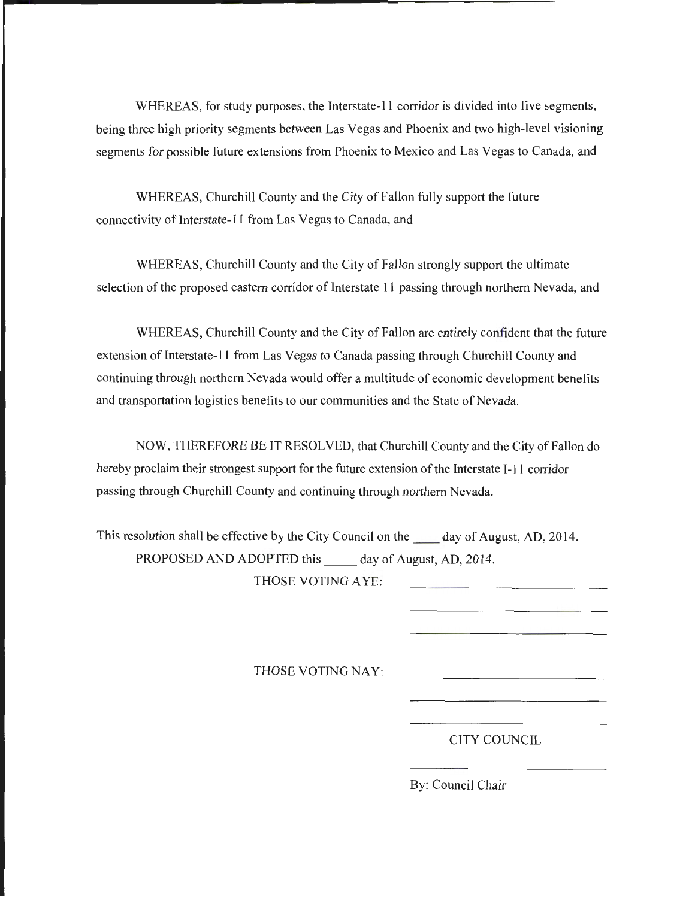WHEREAS, for study purposes, the Interstate-11 corridor is divided into five segments, being three high priority segments between Las Vegas and Phoenix and two high-level visioning segments for possible future extensions from Phoenix to Mexico and Las Vegas to Canada, and

WHEREAS, Churchill County and the City of Fallon fully support the future connectivity of Interstate-11 from Las Vegas to Canada, and

WHEREAS, Churchill County and the City of Fallon strongly support the ultimate selection of the proposed eastern corridor of Interstate 11 passing through northern Nevada, and

WHEREAS, Churchill County and the City of Fallon are entirely confident that the future extension of Interstate-11 from Las Vegas to Canada passing through Churchill County and continuing through northern Nevada would offer a multitude of economic development benefits and transportation logistics benefits to our communities and the State of Nevada.

NOW, THEREFORE BE IT RESOLVED, that Churchill County and the City of Fallon do hereby proclaim their strongest support for the future extension of the Interstate 1-11 corridor passing through Churchill County and continuing through northern Nevada.

This resolution shall be effective by the City Council on the day of August, AD, 2014. PROPOSED AND ADOPTED this day of August, AD, 2014.

THOSE VOTING AYE:

THOSE VOTING NAY:

CITY COUNCIL

By: Council Chair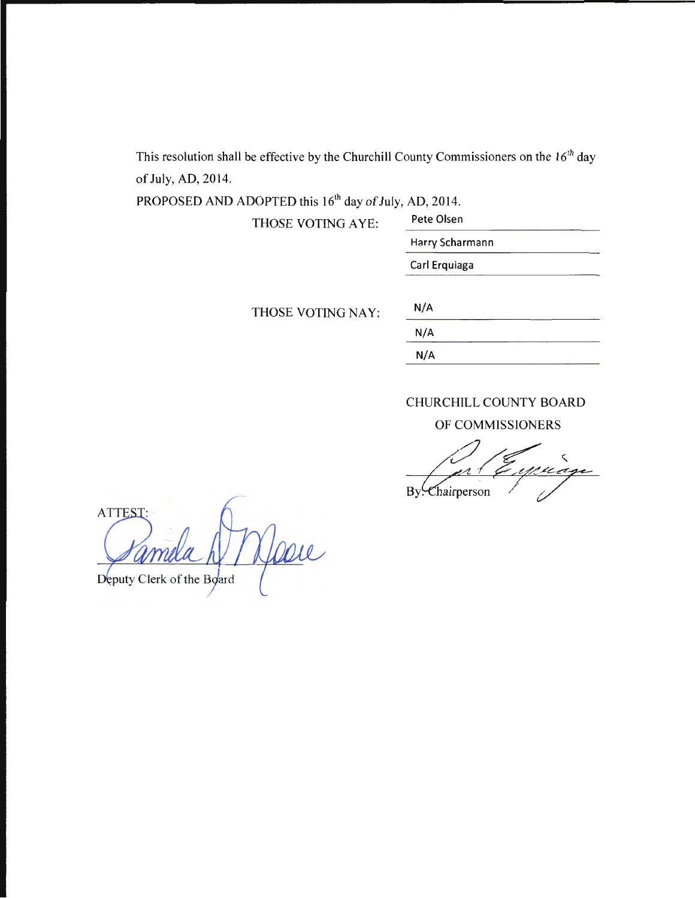This resolution shall be effective by the Churchill County Commissioners on the  $16<sup>th</sup>$  day of July, AD, 2014.

PROPOSED AND ADOPTED this 16<sup>th</sup> day of July, AD, 2014.

THOSE VOTING AYE: Pete Olsen

------------------------- Harry Scharmann Carl Erquiaga

THOSE VOTING NAY:

| N/A |  |  |
|-----|--|--|
| N/A |  |  |
| N/A |  |  |

# CHURCHILL COUNTY BOARD

OF COMMISSIONERS

By. Chairperson

**ATTEST** Deputy Clerk of the Board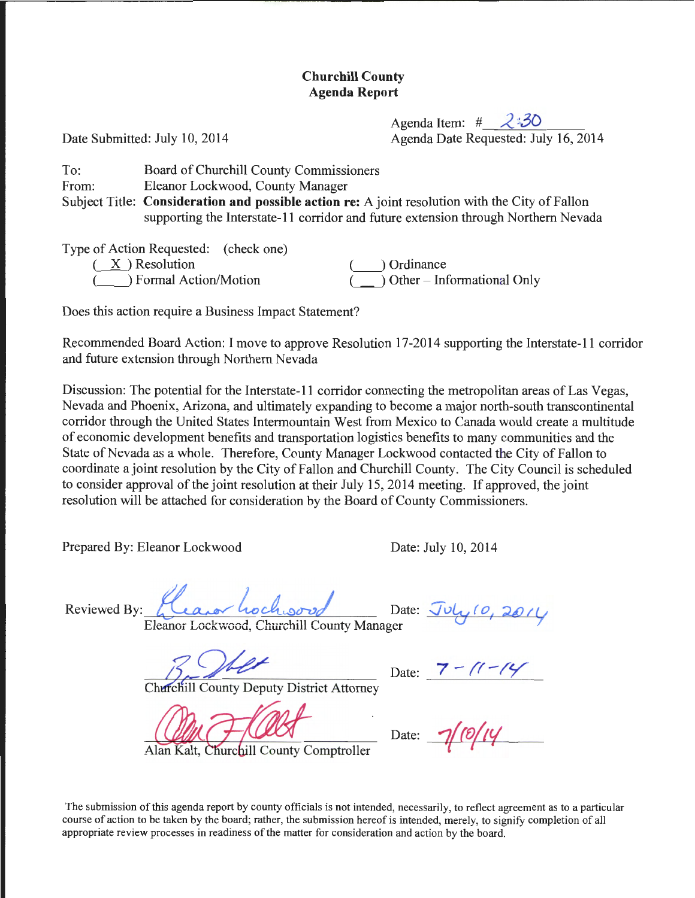# **Churchill County Agenda Report**

Agenda Item: # 2:30 Date Submitted: July 10, 2014 **Agenda Date Requested: July 16**, 2014

To: From: Subject Title: **Consideration and possible action re:** A joint resolution with the City of Fallon Board of Churchill County Commissioners Eleanor Lockwood, County Manager supporting the Interstate-11 corridor and future extension through Northern Nevada

Type of Action Requested: (check one)<br>  $(X)$  Resolution ( $\underline{X}$ ) Resolution (  $\underline{X}$ ) Ordinance *(\_\_)* Formal Action/Motion (\_\_\_) Other - Informational Only

Does this action require a Business Impact Statement?

Recommended Board Action: I move to approve Resolution 17-2014 supporting the Interstate-11 corridor and future extension through Northern Nevada

Discussion: The potential for the Interstate-11 corridor connecting the metropolitan areas of Las Vegas, Nevada and Phoenix, Arizona, and ultimately expanding to become a major north-south transcontinental corridor through the United States Intermountain West from Mexico to Canada would create a multitude of economic development benefits and transportation logistics benefits to many communities and the State of Nevada as a whole. Therefore, County Manager Lockwood contacted the City of Fallon to coordinate a joint resolution by the City of Fallon and Churchill County. The City Council is scheduled to consider approval of the joint resolution at their July 15, 2014 meeting. If approved, the joint resolution will be attached for consideration by the Board of County Commissioners.

Prepared By: Eleanor Lockwood Date: July 10, 2014

Reviewed By: *Leaver hochwood* Date: July 10, 2014

Eleanor Lockwood, Churchill County Manager

earior Lockwood, Churchill County Manager<br>  $\frac{1}{2}$  Date:  $\frac{7 - (1 - 14)}{1 - 14}$ 

Churchill County Deputy District Attorney

Alan Kalt, Churchill County Comptroller

Date:  $\overline{\phantom{a}}$ 

The submission of this agenda report by county officials is not intended, necessarily, to reflect agreement as to a particular course of action to be taken by the board; rather, the submission hereof is intended, merely, to signify completion of all appropriate review processes in readiness of the matter for consideration and action by the board.